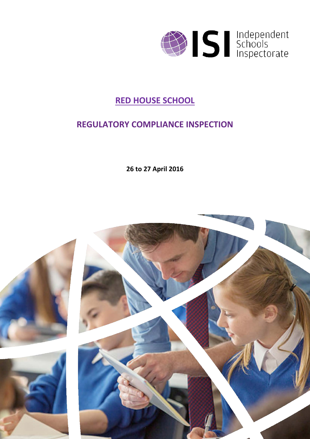

### **RED HOUSE SCHOOL**

### **REGULATORY COMPLIANCE INSPECTION**

**26 to 27 April 2016**

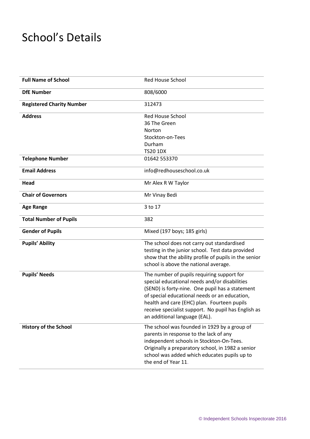# School's Details

| <b>Full Name of School</b>       | <b>Red House School</b>                                                                     |
|----------------------------------|---------------------------------------------------------------------------------------------|
| <b>DfE Number</b>                | 808/6000                                                                                    |
| <b>Registered Charity Number</b> | 312473                                                                                      |
| <b>Address</b>                   | <b>Red House School</b><br>36 The Green                                                     |
|                                  | Norton                                                                                      |
|                                  | Stockton-on-Tees                                                                            |
|                                  | Durham                                                                                      |
|                                  | <b>TS20 1DX</b>                                                                             |
| <b>Telephone Number</b>          | 01642 553370                                                                                |
| <b>Email Address</b>             | info@redhouseschool.co.uk                                                                   |
| Head                             | Mr Alex R W Taylor                                                                          |
| <b>Chair of Governors</b>        | Mr Vinay Bedi                                                                               |
| <b>Age Range</b>                 | 3 to 17                                                                                     |
| <b>Total Number of Pupils</b>    | 382                                                                                         |
| <b>Gender of Pupils</b>          | Mixed (197 boys; 185 girls)                                                                 |
| <b>Pupils' Ability</b>           | The school does not carry out standardised                                                  |
|                                  | testing in the junior school. Test data provided                                            |
|                                  | show that the ability profile of pupils in the senior                                       |
|                                  | school is above the national average.                                                       |
| <b>Pupils' Needs</b>             | The number of pupils requiring support for<br>special educational needs and/or disabilities |
|                                  | (SEND) is forty-nine. One pupil has a statement                                             |
|                                  | of special educational needs or an education,                                               |
|                                  | health and care (EHC) plan. Fourteen pupils                                                 |
|                                  | receive specialist support. No pupil has English as                                         |
|                                  | an additional language (EAL).                                                               |
| <b>History of the School</b>     | The school was founded in 1929 by a group of                                                |
|                                  | parents in response to the lack of any                                                      |
|                                  | independent schools in Stockton-On-Tees.                                                    |
|                                  | Originally a preparatory school, in 1982 a senior                                           |
|                                  | school was added which educates pupils up to                                                |
|                                  | the end of Year 11.                                                                         |
|                                  |                                                                                             |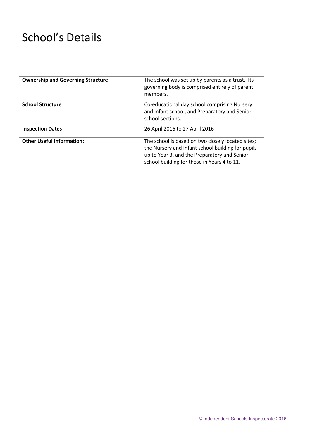# School's Details

| <b>Ownership and Governing Structure</b> | The school was set up by parents as a trust. Its<br>governing body is comprised entirely of parent<br>members.                                                                                        |
|------------------------------------------|-------------------------------------------------------------------------------------------------------------------------------------------------------------------------------------------------------|
| <b>School Structure</b>                  | Co-educational day school comprising Nursery<br>and Infant school, and Preparatory and Senior<br>school sections.                                                                                     |
| <b>Inspection Dates</b>                  | 26 April 2016 to 27 April 2016                                                                                                                                                                        |
| <b>Other Useful Information:</b>         | The school is based on two closely located sites;<br>the Nursery and Infant school building for pupils<br>up to Year 3, and the Preparatory and Senior<br>school building for those in Years 4 to 11. |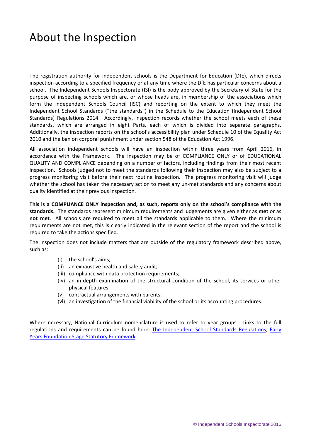## About the Inspection

The registration authority for independent schools is the Department for Education (DfE), which directs inspection according to a specified frequency or at any time where the DfE has particular concerns about a school. The Independent Schools Inspectorate (ISI) is the body approved by the Secretary of State for the purpose of inspecting schools which are, or whose heads are, in membership of the associations which form the Independent Schools Council (ISC) and reporting on the extent to which they meet the Independent School Standards ("the standards") in the Schedule to the Education (Independent School Standards) Regulations 2014. Accordingly, inspection records whether the school meets each of these standards, which are arranged in eight Parts, each of which is divided into separate paragraphs. Additionally, the inspection reports on the school's accessibility plan under Schedule 10 of the Equality Act 2010 and the ban on corporal punishment under section 548 of the Education Act 1996.

All association independent schools will have an inspection within three years from April 2016, in accordance with the Framework. The inspection may be of COMPLIANCE ONLY or of EDUCATIONAL QUALITY AND COMPLIANCE depending on a number of factors, including findings from their most recent inspection. Schools judged not to meet the standards following their inspection may also be subject to a progress monitoring visit before their next routine inspection. The progress monitoring visit will judge whether the school has taken the necessary action to meet any un-met standards and any concerns about quality identified at their previous inspection.

**This is a COMPLIANCE ONLY inspection and, as such, reports only on the school's compliance with the standards.** The standards represent minimum requirements and judgements are given either as **met** or as **not met**. All schools are required to meet all the standards applicable to them. Where the minimum requirements are not met, this is clearly indicated in the relevant section of the report and the school is required to take the actions specified.

The inspection does not include matters that are outside of the regulatory framework described above, such as:

- (i) the school's aims;
- (ii) an exhaustive health and safety audit;
- (iii) compliance with data protection requirements;
- (iv) an in-depth examination of the structural condition of the school, its services or other physical features;
- (v) contractual arrangements with parents;
- (vi) an investigation of the financial viability of the school or its accounting procedures.

Where necessary, National Curriculum nomenclature is used to refer to year groups. Links to the full regulations and requirements can be found here: [The Independent School Standards Regulations,](http://www.legislation.gov.uk/uksi/2014/3283/contents/made) Early [Years Foundation Stage Statutory Framework.](https://www.gov.uk/government/publications/early-years-foundation-stage-framework--2)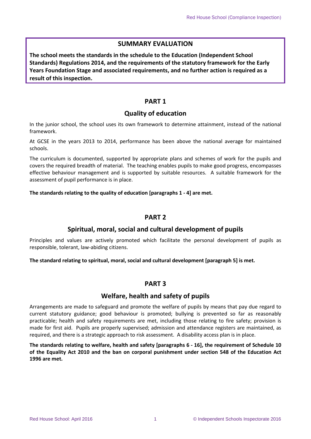#### **SUMMARY EVALUATION**

**The school meets the standards in the schedule to the Education (Independent School Standards) Regulations 2014, and the requirements of the statutory framework for the Early Years Foundation Stage and associated requirements, and no further action is required as a result of this inspection.**

#### **PART 1**

#### **Quality of education**

In the junior school, the school uses its own framework to determine attainment, instead of the national framework.

At GCSE in the years 2013 to 2014, performance has been above the national average for maintained schools.

The curriculum is documented, supported by appropriate plans and schemes of work for the pupils and covers the required breadth of material. The teaching enables pupils to make good progress, encompasses effective behaviour management and is supported by suitable resources. A suitable framework for the assessment of pupil performance is in place.

#### **The standards relating to the quality of education [paragraphs 1 - 4] are met.**

#### **PART 2**

#### **Spiritual, moral, social and cultural development of pupils**

Principles and values are actively promoted which facilitate the personal development of pupils as responsible, tolerant, law-abiding citizens.

**The standard relating to spiritual, moral, social and cultural development [paragraph 5] is met.**

#### **PART 3**

#### **Welfare, health and safety of pupils**

Arrangements are made to safeguard and promote the welfare of pupils by means that pay due regard to current statutory guidance; good behaviour is promoted; bullying is prevented so far as reasonably practicable; health and safety requirements are met, including those relating to fire safety; provision is made for first aid. Pupils are properly supervised; admission and attendance registers are maintained, as required, and there is a strategic approach to risk assessment. A disability access plan is in place.

**The standards relating to welfare, health and safety [paragraphs 6 - 16], the requirement of Schedule 10 of the Equality Act 2010 and the ban on corporal punishment under section 548 of the Education Act 1996 are met.**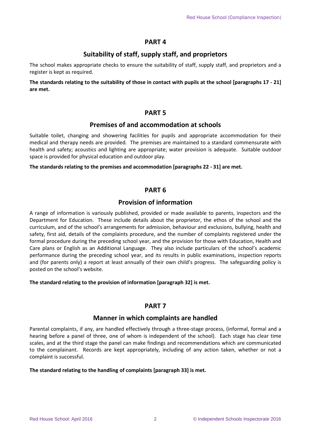#### **PART 4**

#### **Suitability of staff, supply staff, and proprietors**

The school makes appropriate checks to ensure the suitability of staff, supply staff, and proprietors and a register is kept as required.

**The standards relating to the suitability of those in contact with pupils at the school [paragraphs 17 - 21] are met.**

#### **PART 5**

#### **Premises of and accommodation at schools**

Suitable toilet, changing and showering facilities for pupils and appropriate accommodation for their medical and therapy needs are provided. The premises are maintained to a standard commensurate with health and safety; acoustics and lighting are appropriate; water provision is adequate. Suitable outdoor space is provided for physical education and outdoor play.

#### **The standards relating to the premises and accommodation [paragraphs 22 - 31] are met.**

#### **PART 6**

#### **Provision of information**

A range of information is variously published, provided or made available to parents, inspectors and the Department for Education. These include details about the proprietor, the ethos of the school and the curriculum, and of the school's arrangements for admission, behaviour and exclusions, bullying, health and safety, first aid, details of the complaints procedure, and the number of complaints registered under the formal procedure during the preceding school year, and the provision for those with Education, Health and Care plans or English as an Additional Language. They also include particulars of the school's academic performance during the preceding school year, and its results in public examinations, inspection reports and (for parents only) a report at least annually of their own child's progress. The safeguarding policy is posted on the school's website.

#### **The standard relating to the provision of information [paragraph 32] is met.**

#### **PART 7**

#### **Manner in which complaints are handled**

Parental complaints, if any, are handled effectively through a three-stage process, (informal, formal and a hearing before a panel of three, one of whom is independent of the school). Each stage has clear time scales, and at the third stage the panel can make findings and recommendations which are communicated to the complainant. Records are kept appropriately, including of any action taken, whether or not a complaint is successful.

#### **The standard relating to the handling of complaints [paragraph 33] is met.**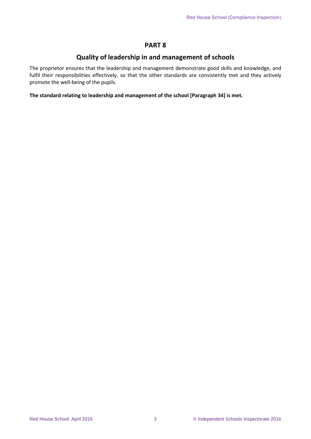#### **PART 8**

#### **Quality of leadership in and management of schools**

The proprietor ensures that the leadership and management demonstrate good skills and knowledge, and fulfil their responsibilities effectively, so that the other standards are consistently met and they actively promote the well-being of the pupils.

**The standard relating to leadership and management of the school [Paragraph 34] is met.**